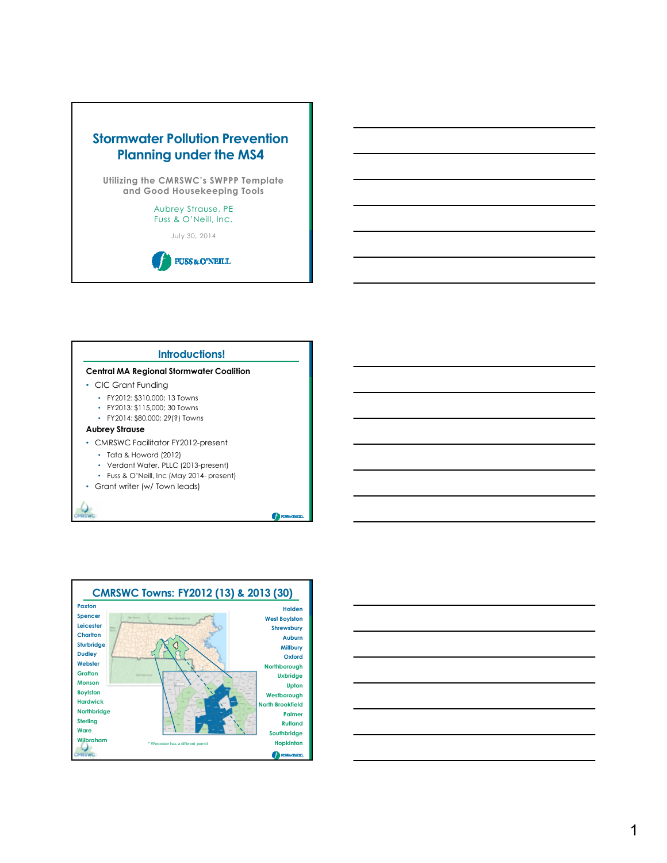

## **Introductions!**

## **Central MA Regional Stormwater Coalition**

- CIC Grant Funding
	- FY2012: \$310,000; 13 Towns
	- FY2013: \$115,000; 30 Towns
	- FY2014: \$80,000; 29(?) Towns
- **Aubrey Strause**
- CMRSWC Facilitator FY2012-present
	- Tata & Howard (2012)
	- Verdant Water, PLLC (2013-present)
	- Fuss & O'Neill, Inc (May 2014- present)

 $\bigcap$  PISS NCT

• Grant writer (w/ Town leads)



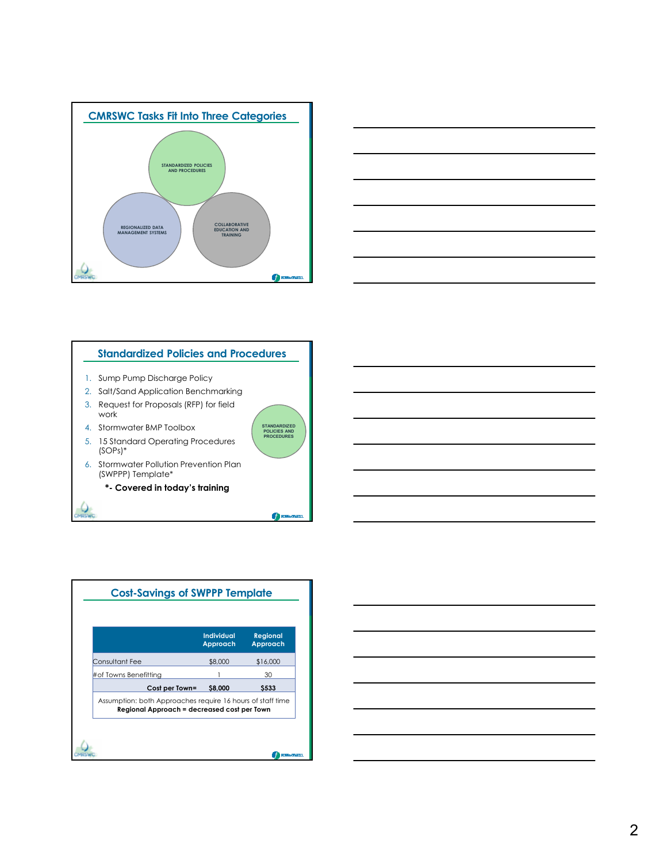



# **Standardized Policies and Procedures**

**STANDARDIZED POLICIES AND PROCEDURES**

**O** HISSAN

- 1. Sump Pump Discharge Policy
- 2. Salt/Sand Application Benchmarking
- 3. Request for Proposals (RFP) for field work
- 4. Stormwater BMP Toolbox
- 5. 15 Standard Operating Procedures (SOPs)\*
- 6. Stormwater Pollution Prevention Plan (SWPPP) Template\*

**\*- Covered in today's training**



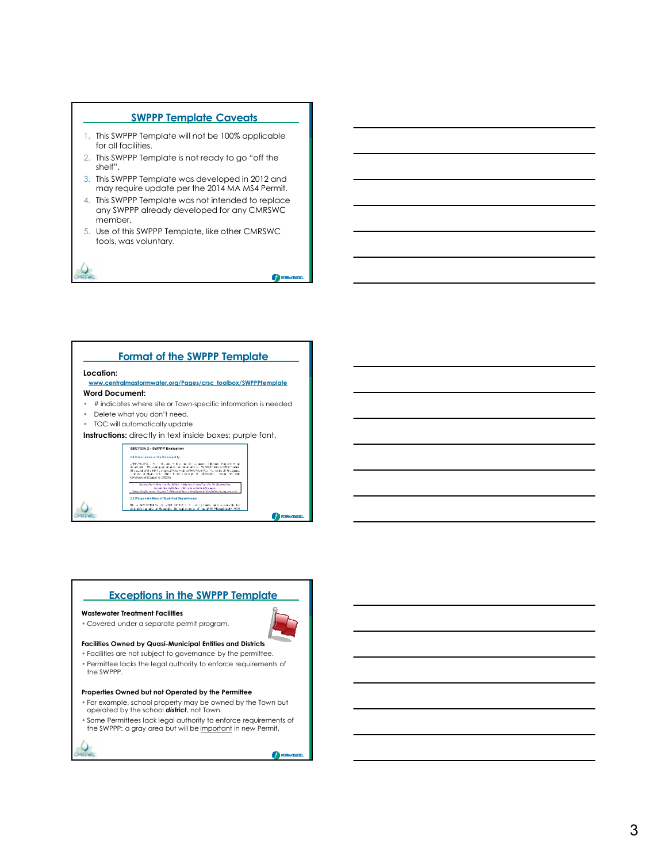## **SWPPP Template Caveats**

- 1. This SWPPP Template will not be 100% applicable for all facilities.
- 2. This SWPPP Template is not ready to go "off the shelf".
- 3. This SWPPP Template was developed in 2012 and may require update per the 2014 MA MS4 Permit.
- 4. This SWPPP Template was not intended to replace any SWPPP already developed for any CMRSWC member.
- 5. Use of this SWPPP Template, like other CMRSWC tools, was voluntary.

## **Format of the SWPPP Template**

### **Location:**

#### **www.centralmastormwater.org/Pages/crsc\_toolbox/SWPPPtemplate Word Document:**

- # indicates where site or Town-specific information is needed
- Delete what you don't need.
- TOC will automatically update

**Instructions:** directly in text inside boxes; purple font.

SECTION 2 - SWIPP Excludion **SCI Discovered and the Manageritte**  $\mathcal{P}(t,N), \mathcal{P}(t,N)$  . It is described by the sequents the size  $S$  and  $t\approx q$  . We see all the set  $\mathcal{P}(t,N)$  and  $\mathcal{P}(t,N)$  . It is seen all the set of  $\mathcal{P}(t,N)$  and  $\mathcal{P}(t,N)$  . It is seen all the set of  $\mathcal{P}(t,N$ .<br>Loven have been the fifther the first of the control of the control of the control of the control of the control of the control of the control of the control of the control of the control of the control of the control of

2.2 Responsibilidas of Municipal Departments

.<br>18. a februária (n. 1818).<br>20. august – José Mariando, de regionales of un 2001 Massachusett (



**Chinassi** 

 $\bigoplus$  ross

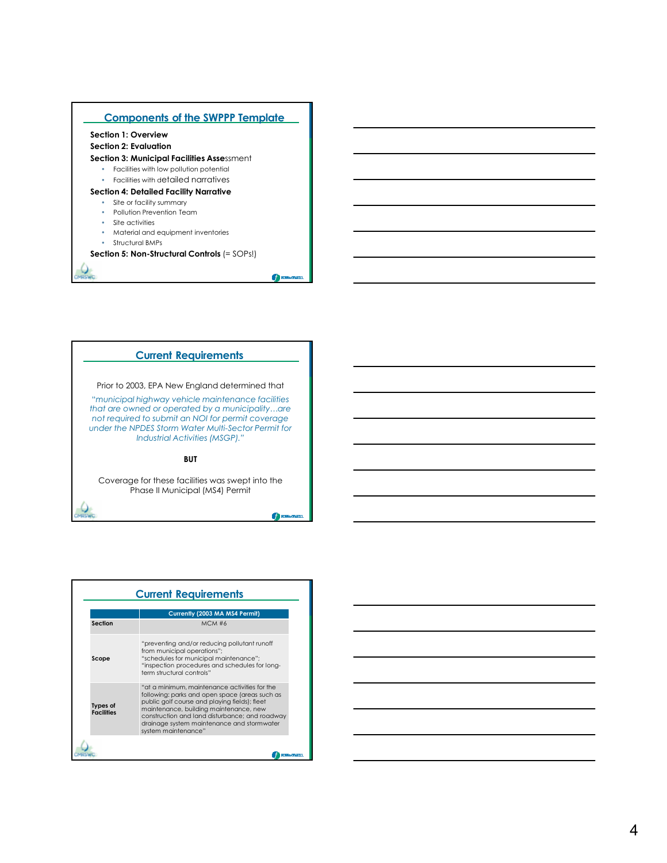

# **Current Requirements**

Prior to 2003, EPA New England determined that

"*municipal highway vehicle maintenance facilities that are owned or operated by a municipality…are not required to submit an NOI for permit coverage under the NPDES Storm Water Multi-Sector Permit for Industrial Activities (MSGP)."*

**BUT**

Coverage for these facilities was swept into the Phase II Municipal (MS4) Permit

**Thus** 

|                               | <b>Current Requirements</b>                                                                                                                                                                                                                                                                                       |  |  |
|-------------------------------|-------------------------------------------------------------------------------------------------------------------------------------------------------------------------------------------------------------------------------------------------------------------------------------------------------------------|--|--|
|                               | Currently (2003 MA MS4 Permit)                                                                                                                                                                                                                                                                                    |  |  |
| <b>Section</b>                | MCM#6                                                                                                                                                                                                                                                                                                             |  |  |
| Scope                         | "preventing and/or reducing pollutant runoff<br>from municipal operations";<br>"schedules for municipal maintenance";<br>"inspection procedures and schedules for long-<br>term structural controls"                                                                                                              |  |  |
| Types of<br><b>Facilities</b> | "at a minimum, maintenance activities for the<br>following: parks and open space (areas such as<br>public golf course and playing fields); fleet<br>maintenance, building maintenance, new<br>construction and land disturbance; and roadway<br>drainage system maintenance and stormwater<br>system maintenance" |  |  |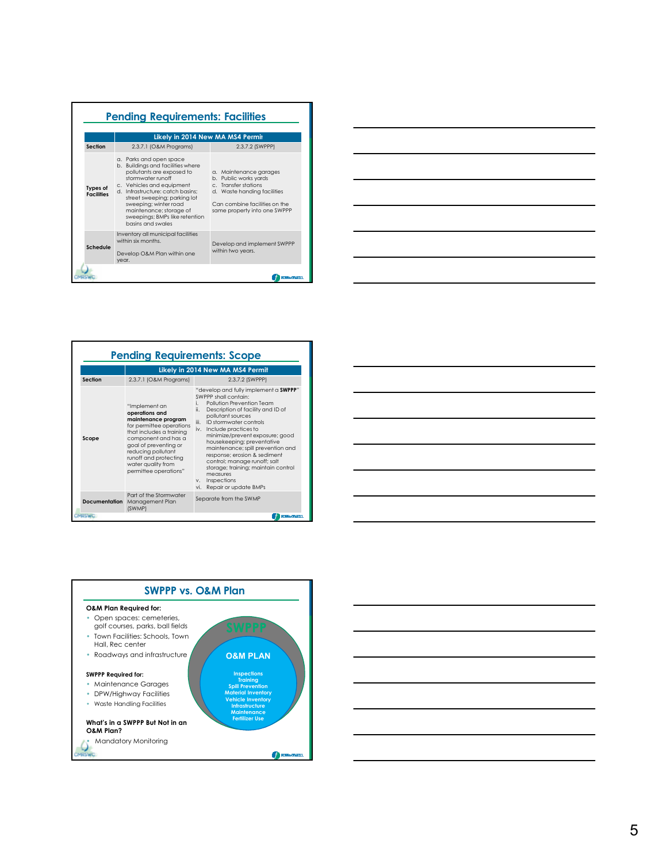|                               | <b>Pending Requirements: Facilities</b>                                                                                                                                                                                                                                                                                    |                                                                                                                                                                         |
|-------------------------------|----------------------------------------------------------------------------------------------------------------------------------------------------------------------------------------------------------------------------------------------------------------------------------------------------------------------------|-------------------------------------------------------------------------------------------------------------------------------------------------------------------------|
| Section                       | Likely in 2014 New MA MS4 Permit<br>2.3.7.1 (O&M Programs)<br>2.3.7.2 (SWPPP)                                                                                                                                                                                                                                              |                                                                                                                                                                         |
| Types of<br><b>Facilities</b> | a. Parks and open space<br>b. Buildings and facilities where<br>pollutants are exposed to<br>stormwater runoff<br>c. Vehicles and equipment<br>d. Infrastructure: catch basins:<br>street sweeping; parking lot<br>sweeping; winter road<br>maintenance; storage of<br>sweepings; BMPs like retention<br>basins and swales | a. Maintenance garages<br>b. Public works yards<br>c. Transfer stations<br>d. Waste handing facilities<br>Can combine facilities on the<br>same property into one SWPPP |
| Schedule                      | Inventory all municipal facilities<br>within six months.<br>Develop O&M Plan within one<br>vear.                                                                                                                                                                                                                           | Develop and implement SWPPP<br>within two years.                                                                                                                        |
|                               |                                                                                                                                                                                                                                                                                                                            |                                                                                                                                                                         |







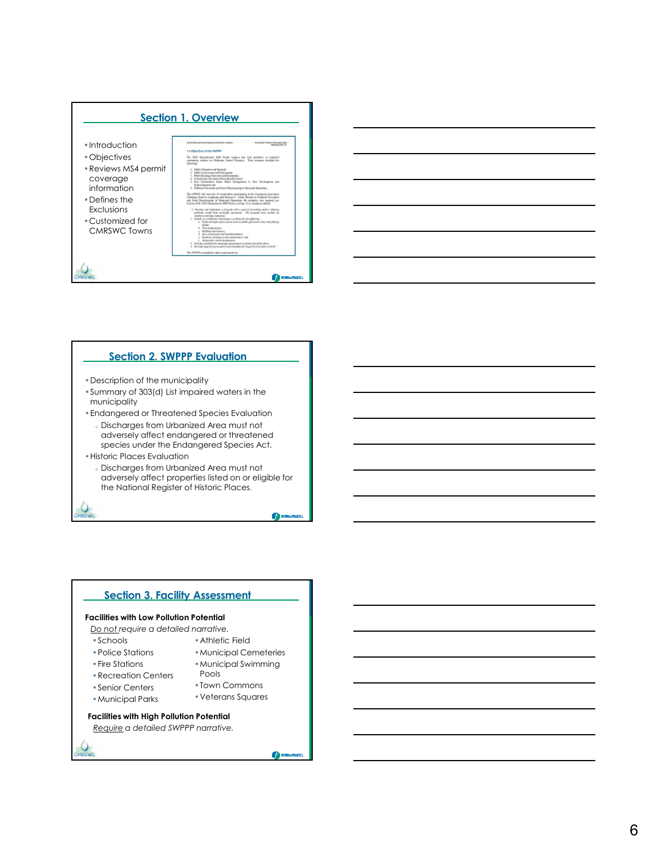



## **Section 2. SWPPP Evaluation**

- •Description of the municipality
- •Summary of 303(d) List impaired waters in the municipality
- •Endangered or Threatened Species Evaluation o Discharges from Urbanized Area must not adversely affect endangered or threatened species under the Endangered Species Act.
- •Historic Places Evaluation
	- Discharges from Urbanized Area must not adversely affect properties listed on or eligible for the National Register of Historic Places.

**Thursday** 

### **Section 3. Facility Assessment**

## **Facilities with Low Pollution Potential**

*Do not require a detailed narrative.*

- •Schools
- •Athletic Field
- •Police Stations
- •Fire Stations
- •Municipal Cemeteries •Municipal Swimming Pools

•Town Commons •Veterans Squares

- •Recreation Centers
- •Senior Centers
- •Municipal Parks

# **Facilities with High Pollution Potential**

*Require a detailed SWPPP narrative.*

**TESS** RESIGNED.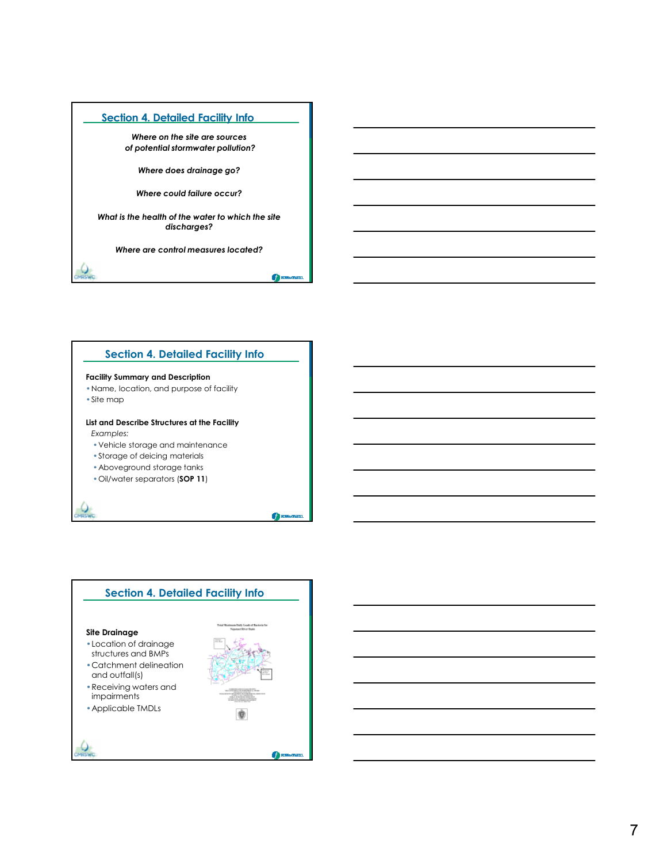*Where on the site are sources of potential stormwater pollution?* 

*Where does drainage go?* 

*Where could failure occur?*

*What is the health of the water to which the site discharges?*

*Where are control measures located?*

**C** PUSSE

**TERRACE** 

# **Section 4. Detailed Facility Info**

### **Facility Summary and Description**

- •Name, location, and purpose of facility
- •Site map

### **List and Describe Structures at the Facility**

*Examples:*

- •Vehicle storage and maintenance
- •Storage of deicing materials
- •Aboveground storage tanks
- •Oil/water separators (**SOP 11**)

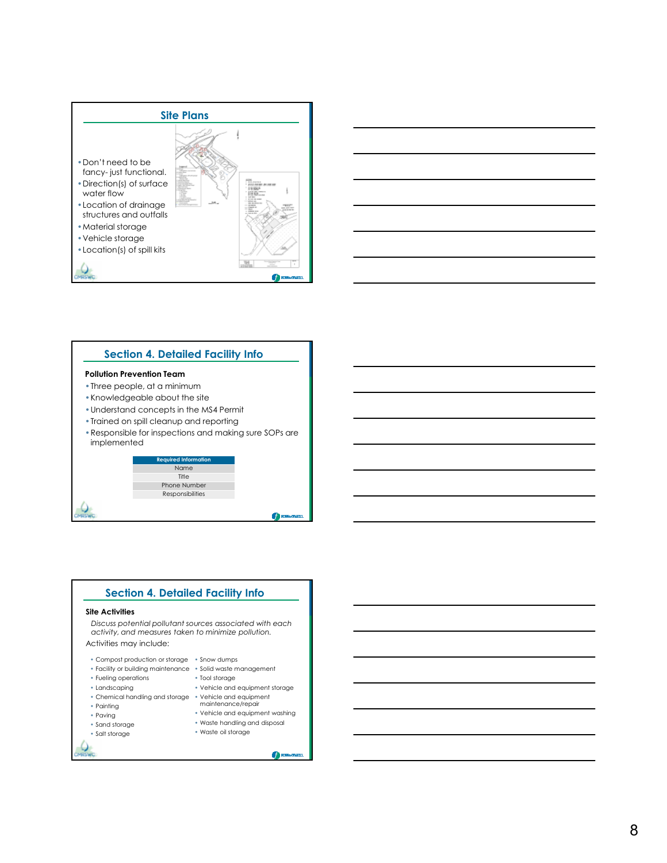



### **Pollution Prevention Team**

- •Three people, at a minimum
- •Knowledgeable about the site
- •Understand concepts in the MS4 Permit
- •Trained on spill cleanup and reporting
- •Responsible for inspections and making sure SOPs are implemented



# **Section 4. Detailed Facility Info**

#### **Site Activities**

*Discuss potential pollutant sources associated with each activity, and measures taken to minimize pollution.* Activities may include:

- Compost production or storage Snow dumps
- Facility or building maintenance Solid waste management
- Fueling operations
- Landscaping
- Chemical handling and storage Vehicle and equipment
- Painting
- Paving
- Sand storage • Salt storage
- maintenance/repair • Vehicle and equipment washing • Waste handling and disposal

• Tool storage

• Waste oil storage

• Vehicle and equipment storage

**TESS** FOR SCOPELY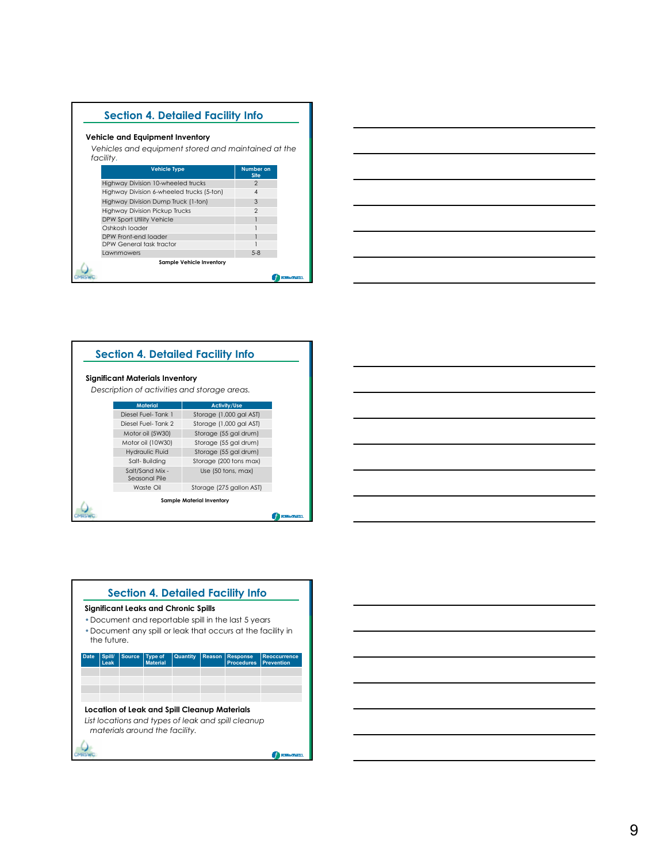## **Vehicle and Equipment Inventory**

*Vehicles and equipment stored and maintained at the facility.*

| <b>Vehicle Type</b>                       | <b>Number on</b><br><b>Site</b> |
|-------------------------------------------|---------------------------------|
| Highway Division 10-wheeled trucks        | 2                               |
| Highway Division 6-wheeled trucks (5-ton) |                                 |
| Highway Division Dump Truck (1-ton)       | 3                               |
| Highway Division Pickup Trucks            | $\mathfrak{D}$                  |
| <b>DPW Sport Utility Vehicle</b>          |                                 |
| Oshkosh loader                            |                                 |
| DPW Front-end loader                      |                                 |
| DPW General task tractor                  |                                 |
| <b>Lawnmowers</b>                         | $5 - 8$                         |
| <b>Sample Vehicle Inventory</b>           |                                 |
|                                           |                                 |



# **Section 4. Detailed Facility Info**

## **Significant Materials Inventory**

*Description of activities and storage areas.*

| <b>Material</b>                  | <b>Activity/Use</b>              |
|----------------------------------|----------------------------------|
| Diesel Fuel-Tank 1               | Storage (1,000 gal AST)          |
| Diesel Fuel-Tank 2               | Storage (1,000 gal AST)          |
| Motor oil (5W30)                 | Storage (55 gal drum)            |
| Motor oil (10W30)                | Storage (55 gal drum)            |
| <b>Hydraulic Fluid</b>           | Storage (55 gal drum)            |
| Salt-Building                    | Storage (200 tons max)           |
| Salt/Sand Mix -<br>Seasonal Pile | Use (50 tons, max)               |
| Waste Oil                        | Storage (275 gallon AST)         |
|                                  | <b>Sample Material Inventory</b> |
|                                  |                                  |
|                                  |                                  |

| <u> 1989 - Johann Stoff, amerikansk politiker (d. 1989)</u>                                                           |  |  |
|-----------------------------------------------------------------------------------------------------------------------|--|--|
| <u> 1989 - Johann Barn, amerikan bernama di sebagai bernama di sebagai bernama di sebagai bernama di sebagai ber</u>  |  |  |
|                                                                                                                       |  |  |
| <u> 1989 - Johann Stoff, deutscher Stoff, der Stoff, der Stoff, der Stoff, der Stoff, der Stoff, der Stoff, der S</u> |  |  |
| <u> 1989 - Andrea Andrea Andrea Andrea Andrea Andrea Andrea Andrea Andrea Andrea Andrea Andrea Andrea Andrea And</u>  |  |  |
| ,我们也不会有什么?""我们的人,我们也不会有什么?""我们的人,我们也不会有什么?""我们的人,我们也不会有什么?""我们的人,我们也不会有什么?""我们的人                                      |  |  |

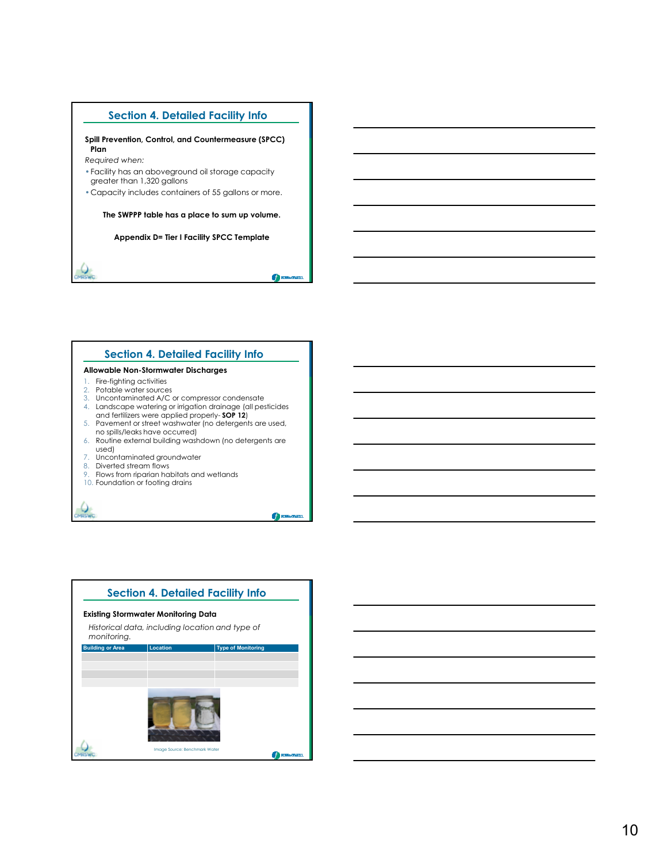#### **Spill Prevention, Control, and Countermeasure (SPCC) Plan**

## *Required when:*

- •Facility has an aboveground oil storage capacity greater than 1,320 gallons
- •Capacity includes containers of 55 gallons or more.

**The SWPPP table has a place to sum up volume.** 

**Appendix D= Tier I Facility SPCC Template**

## **Section 4. Detailed Facility Info**

#### **Allowable Non-Stormwater Discharges**

- 1. Fire-fighting activities
- 2. Potable water sources
- 3. Uncontaminated A/C or compressor condensate
- 4. Landscape watering or irrigation drainage (all pesticides<br>and fertilizers were applied properly- **SOP 12**)<br>5. Pavement or street washwater (no detergents are used,<br>no spills/leaks have occurred)
- 
- 6. Routine external building washdown (no detergents are used)
- 7. Uncontaminated groundwater
- 8. Diverted stream flows
- 9. Flows from riparian habitats and wetlands
- 10. Foundation or footing drains

**O** Hasse

 $f$  rues

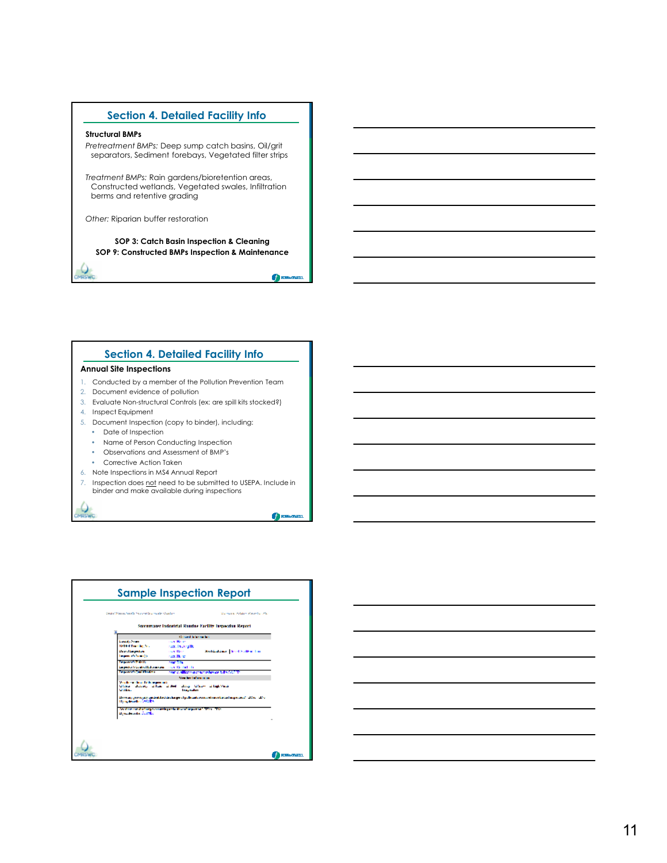### **Structural BMPs**

*Pretreatment BMPs:* Deep sump catch basins, Oil/grit separators, Sediment forebays, Vegetated filter strips

*Treatment BMPs:* Rain gardens/bioretention areas, Constructed wetlands, Vegetated swales, Infiltration berms and retentive grading

*Other:* Riparian buffer restoration

**SOP 3: Catch Basin Inspection & Cleaning SOP 9: Constructed BMPs Inspection & Maintenance**

**O** POSSAGE

**O** rase

## **Section 4. Detailed Facility Info**

### **Annual Site Inspections**

- 1. Conducted by a member of the Pollution Prevention Team
- 2. Document evidence of pollution
- 3. Evaluate Non-structural Controls (ex: are spill kits stocked?)
- 4. Inspect Equipment
- 5. Document Inspection (copy to binder), including:
	- Date of Inspection
	- Name of Person Conducting Inspection
	- Observations and Assessment of BMP's
	- Corrective Action Taken
- 6. Note Inspections in MS4 Annual Report
- 7. Inspection does not need to be submitted to USEPA. Include in binder and make available during inspections

| Condex Washington (California) and San Installer Countries.                                                  |                                    | Volume 20 - Report Followski, Paul                                                                                                             |
|--------------------------------------------------------------------------------------------------------------|------------------------------------|------------------------------------------------------------------------------------------------------------------------------------------------|
|                                                                                                              |                                    | Sternmater Industrial Reader Facility Inspection Report                                                                                        |
|                                                                                                              | <b>Longed International</b>        |                                                                                                                                                |
| <b>Louisian and</b>                                                                                          | <b>Contractor</b>                  |                                                                                                                                                |
| i të tru<br>a an that makes                                                                                  | nutri Invitrigità<br>men Barn      | <b>Rechtsständer internitzundem Line</b>                                                                                                       |
| <b>CONTRACTOR</b>                                                                                            | num. Humo                          |                                                                                                                                                |
| <b>Participants</b>                                                                                          | <b>NAME TON</b>                    |                                                                                                                                                |
| and the Second Laboration of the Children of                                                                 |                                    |                                                                                                                                                |
| warren er en an bibliotek                                                                                    |                                    | case of subscripting of the service in the con-                                                                                                |
|                                                                                                              | <b>Manufacture Enforcement and</b> |                                                                                                                                                |
| <b>Married</b><br><b>ULL-</b><br>and the contract of<br>usu.<br><b>Den market McBA</b>                       | المعالى الم<br><b>Tracturers</b>   | Library Library, of English and<br>ida se naj germanaig umdruktordein skarpe et pelletante recentrat succellarian i majorcional (1820). "Liber |
| lay them can be here process and a production of the process." The CTIVE<br>the company of the second states |                                    |                                                                                                                                                |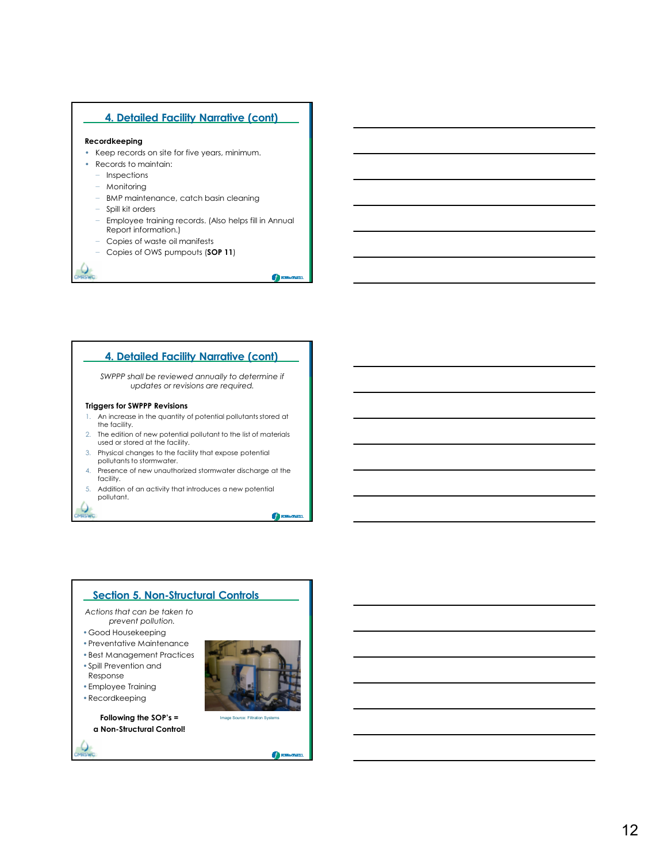## **4. Detailed Facility Narrative (cont)**

### **Recordkeeping**

- Keep records on site for five years, minimum.
- Records to maintain:
	- − Inspections
	- − Monitoring
	- − BMP maintenance, catch basin cleaning
	- − Spill kit orders
	- <sup>−</sup> Employee training records. (Also helps fill in Annual Report information.)
	- − Copies of waste oil manifests
	- − Copies of OWS pumpouts (**SOP 11**)

# **4. Detailed Facility Narrative (cont)**

*SWPPP shall be reviewed annually to determine if updates or revisions are required.*

### **Triggers for SWPPP Revisions**

- 1. An increase in the quantity of potential pollutants stored at the facility.
- 2. The edition of new potential pollutant to the list of materials used or stored at the facility.
- 3. Physical changes to the facility that expose potential pollutants to stormwater.
- 4. Presence of new unauthorized stormwater discharge at the facility.
- 5. Addition of an activity that introduces a new potential pollutant.

**C** rases

**C** PUBLIC

## **Section 5. Non-Structural Controls**

*Actions that can be taken to prevent pollution.* 

- •Good Housekeeping
- •Preventative Maintenance
- •Best Management Practices
- •Spill Prevention and
- Response
- •Employee Training
- •Recordkeeping

**Following the SOP's = a Non-Structural Control!** nage Source: Filtration Systems

**Chrosscovers**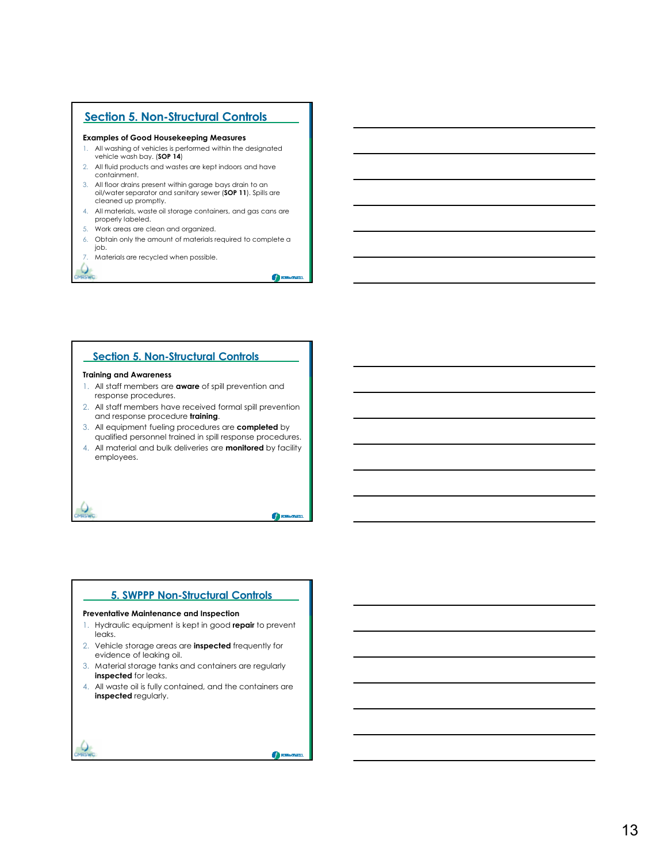# **Section 5. Non-Structural Controls**

#### **Examples of Good Housekeeping Measures**

- 1. All washing of vehicles is performed within the designated vehicle wash bay. (**SOP 14**)
- 2. All fluid products and wastes are kept indoors and have containment.
- 3. All floor drains present within garage bays drain to an oil/water separator and sanitary sewer (**SOP 11**). Spills are cleaned up promptly.
- 4. All materials, waste oil storage containers, and gas cans are properly labeled.
- 5. Work areas are clean and organized.
- 6. Obtain only the amount of materials required to complete a job.

**TELESKI** 

**C** PLES to

Materials are recycled when possible.

## **Section 5. Non-Structural Controls**

### **Training and Awareness**

- 1. All staff members are **aware** of spill prevention and response procedures.
- 2. All staff members have received formal spill prevention and response procedure **training**.
- 3. All equipment fueling procedures are **completed** by qualified personnel trained in spill response procedures.
- 4. All material and bulk deliveries are **monitored** by facility employees.

# **5. SWPPP Non-Structural Controls**

#### **Preventative Maintenance and Inspection**

- 1. Hydraulic equipment is kept in good **repair** to prevent leaks.
- 2. Vehicle storage areas are **inspected** frequently for evidence of leaking oil.
- 3. Material storage tanks and containers are regularly **inspected** for leaks.
- 4. All waste oil is fully contained, and the containers are **inspected** regularly.

**TESS** FOR SCOPELY